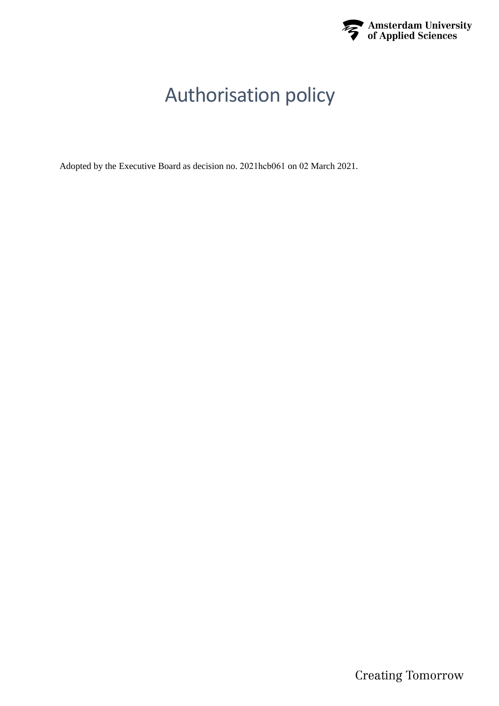

# Authorisation policy

Adopted by the Executive Board as decision no. 2021hcb061 on 02 March 2021.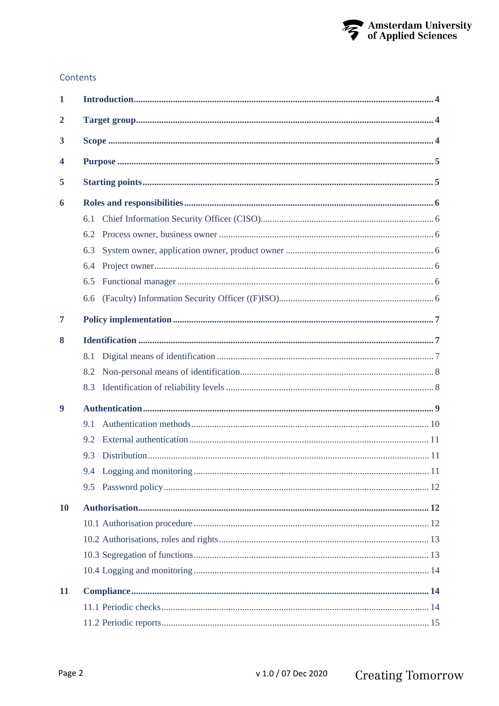

#### Contents

| $\mathbf{1}$   |     |  |  |  |
|----------------|-----|--|--|--|
| $\overline{2}$ |     |  |  |  |
| 3              |     |  |  |  |
| 4              |     |  |  |  |
| 5              |     |  |  |  |
| 6              |     |  |  |  |
|                | 6.1 |  |  |  |
|                | 6.2 |  |  |  |
|                | 6.3 |  |  |  |
|                | 6.4 |  |  |  |
|                | 6.5 |  |  |  |
|                | 6.6 |  |  |  |
| 7              |     |  |  |  |
| 8              |     |  |  |  |
|                | 8.1 |  |  |  |
|                | 8.2 |  |  |  |
|                | 8.3 |  |  |  |
| 9              |     |  |  |  |
|                | 9.1 |  |  |  |
|                | 9.2 |  |  |  |
|                | 9.3 |  |  |  |
|                |     |  |  |  |
|                | 9.5 |  |  |  |
| <b>10</b>      |     |  |  |  |
|                |     |  |  |  |
|                |     |  |  |  |
|                |     |  |  |  |
|                |     |  |  |  |
| 11             |     |  |  |  |
|                |     |  |  |  |
|                |     |  |  |  |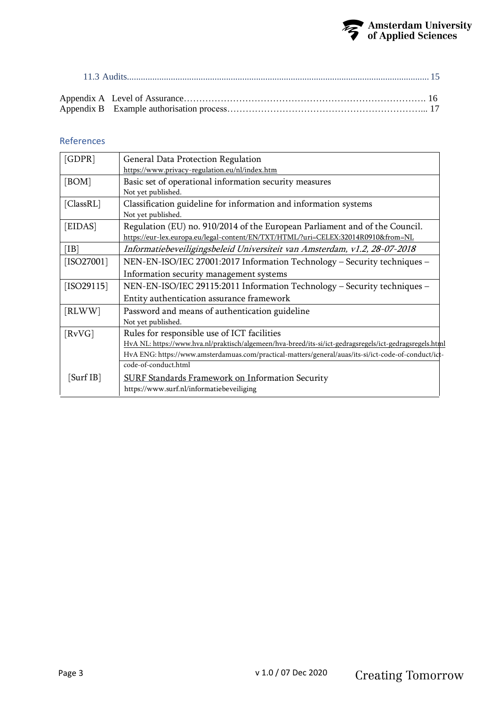

## References

| General Data Protection Regulation                                                                      |
|---------------------------------------------------------------------------------------------------------|
| https://www.privacy-regulation.eu/nl/index.htm                                                          |
| Basic set of operational information security measures                                                  |
| Not yet published.                                                                                      |
| Classification guideline for information and information systems                                        |
| Not yet published.                                                                                      |
| Regulation (EU) no. 910/2014 of the European Parliament and of the Council.                             |
| https://eur-lex.europa.eu/legal-content/EN/TXT/HTML/?uri=CELEX:32014R0910&from=NL                       |
| Informatiebeveiligingsbeleid Universiteit van Amsterdam, v1.2, 28-07-2018                               |
| NEN-EN-ISO/IEC 27001:2017 Information Technology - Security techniques -                                |
| Information security management systems                                                                 |
| NEN-EN-ISO/IEC 29115:2011 Information Technology - Security techniques -                                |
| Entity authentication assurance framework                                                               |
| Password and means of authentication guideline                                                          |
| Not yet published.                                                                                      |
| Rules for responsible use of ICT facilities                                                             |
| HvA NL: https://www.hva.nl/praktisch/algemeen/hva-breed/its-si/ict-gedragsregels/ict-gedragsregels.html |
| HvA ENG: https://www.amsterdamuas.com/practical-matters/general/auas/its-si/ict-code-of-conduct/ict-    |
| code-of-conduct.html                                                                                    |
| <b>SURF Standards Framework on Information Security</b>                                                 |
| https://www.surf.nl/informatiebeveiliging                                                               |
|                                                                                                         |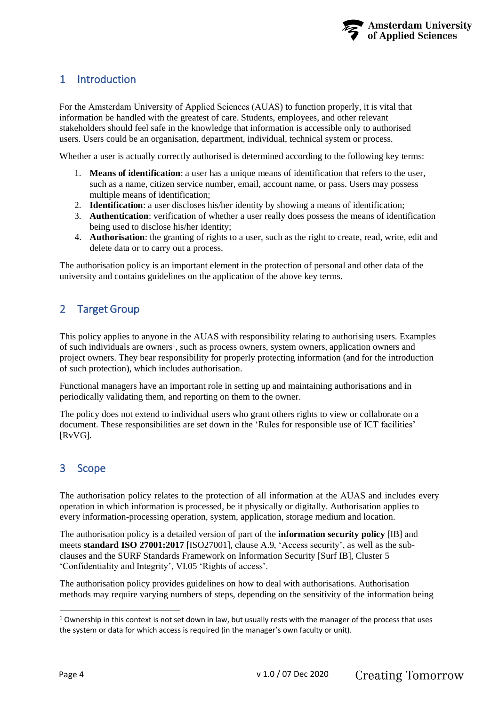

# <span id="page-3-3"></span><span id="page-3-0"></span>1 Introduction

For the Amsterdam University of Applied Sciences (AUAS) to function properly, it is vital that information be handled with the greatest of care. Students, employees, and other relevant stakeholders should feel safe in the knowledge that information is accessible only to authorised users. Users could be an organisation, department, individual, technical system or process.

Whether a user is actually correctly authorised is determined according to the following key terms:

- 1. **Means of identification**: a user has a unique means of identification that refers to the user, such as a name, citizen service number, email, account name, or pass. Users may possess multiple means of identification;
- 2. **Identification**: a user discloses his/her identity by showing a means of identification;
- 3. **Authentication**: verification of whether a user really does possess the means of identification being used to disclose his/her identity;
- 4. **Authorisation**: the granting of rights to a user, such as the right to create, read, write, edit and delete data or to carry out a process.

The authorisation policy is an important element in the protection of personal and other data of the university and contains guidelines on the application of the above key terms.

# <span id="page-3-1"></span>2 Target Group

This policy applies to anyone in the AUAS with responsibility relating to authorising users. Examples of such individuals are owners<sup>1</sup>, such as process owners, system owners, application owners and project owners. They bear responsibility for properly protecting information (and for the introduction of such protection), which includes authorisation.

Functional managers have an important role in setting up and maintaining authorisations and in periodically validating them, and reporting on them to the owner.

The policy does not extend to individual users who grant others rights to view or collaborate on a document. These responsibilities are set down in the 'Rules for responsible use of ICT facilities' [RvVG].

# <span id="page-3-2"></span>3 Scope

The authorisation policy relates to the protection of all information at the AUAS and includes every operation in which information is processed, be it physically or digitally. Authorisation applies to every information-processing operation, system, application, storage medium and location.

The authorisation policy is a detailed version of part of the **information security policy** [IB] and meets **standard ISO 27001:2017** [ISO27001], clause A.9, 'Access security', as well as the subclauses and the SURF Standards Framework on Information Security [Surf IB], Cluster 5 'Confidentiality and Integrity', VI.05 'Rights of access'.

The authorisation policy provides guidelines on how to deal with authorisations. Authorisation methods may require varying numbers of steps, depending on the sensitivity of the information being

 $1$  Ownership in this context is not set down in law, but usually rests with the manager of the process that uses the system or data for which access is required (in the manager's own faculty or unit).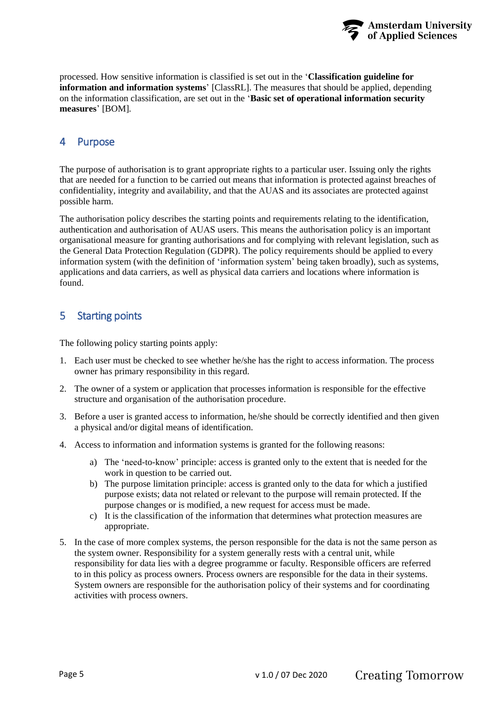

<span id="page-4-2"></span>processed. How sensitive information is classified is set out in the '**Classification guideline for information and information systems**' [ClassRL]. The measures that should be applied, depending on the information classification, are set out in the '**Basic set of operational information security measures**' [BOM].

# <span id="page-4-0"></span>4 Purpose

The purpose of authorisation is to grant appropriate rights to a particular user. Issuing only the rights that are needed for a function to be carried out means that information is protected against breaches of confidentiality, integrity and availability, and that the AUAS and its associates are protected against possible harm.

The authorisation policy describes the starting points and requirements relating to the identification, authentication and authorisation of AUAS users. This means the authorisation policy is an important organisational measure for granting authorisations and for complying with relevant legislation, such as the General Data Protection Regulation (GDPR). The policy requirements should be applied to every information system (with the definition of 'information system' being taken broadly), such as systems, applications and data carriers, as well as physical data carriers and locations where information is found.

## <span id="page-4-1"></span>5 Starting points

The following policy starting points apply:

- 1. Each user must be checked to see whether he/she has the right to access information. The process owner has primary responsibility in this regard.
- 2. The owner of a system or application that processes information is responsible for the effective structure and organisation of the authorisation procedure.
- 3. Before a user is granted access to information, he/she should be correctly identified and then given a physical and/or digital means of identification.
- 4. Access to information and information systems is granted for the following reasons:
	- a) The 'need-to-know' principle: access is granted only to the extent that is needed for the work in question to be carried out.
	- b) The purpose limitation principle: access is granted only to the data for which a justified purpose exists; data not related or relevant to the purpose will remain protected. If the purpose changes or is modified, a new request for access must be made.
	- c) It is the classification of the information that determines what protection measures are appropriate.
- 5. In the case of more complex systems, the person responsible for the data is not the same person as the system owner. Responsibility for a system generally rests with a central unit, while responsibility for data lies with a degree programme or faculty. Responsible officers are referred to in this policy as process owners. Process owners are responsible for the data in their systems. System owners are responsible for the authorisation policy of their systems and for coordinating activities with process owners.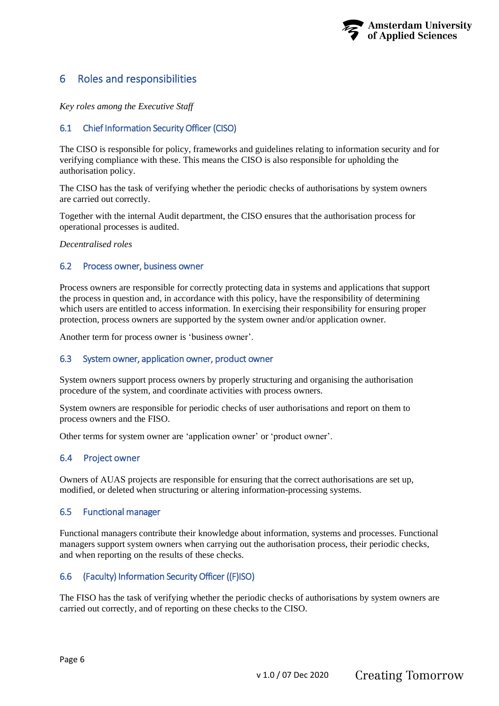

## <span id="page-5-7"></span><span id="page-5-0"></span>6 Roles and responsibilities

*Key roles among the Executive Staff* 

#### <span id="page-5-1"></span>6.1 Chief Information Security Officer (CISO)

The CISO is responsible for policy, frameworks and guidelines relating to information security and for verifying compliance with these. This means the CISO is also responsible for upholding the authorisation policy.

The CISO has the task of verifying whether the periodic checks of authorisations by system owners are carried out correctly.

Together with the internal Audit department, the CISO ensures that the authorisation process for operational processes is audited.

*Decentralised roles* 

#### <span id="page-5-2"></span>6.2 Process owner, business owner

Process owners are responsible for correctly protecting data in systems and applications that support the process in question and, in accordance with this policy, have the responsibility of determining which users are entitled to access information. In exercising their responsibility for ensuring proper protection, process owners are supported by the system owner and/or application owner.

Another term for process owner is 'business owner'.

#### <span id="page-5-3"></span>6.3 System owner, application owner, product owner

System owners support process owners by properly structuring and organising the authorisation procedure of the system, and coordinate activities with process owners.

System owners are responsible for periodic checks of user authorisations and report on them to process owners and the FISO.

Other terms for system owner are 'application owner' or 'product owner'.

#### <span id="page-5-4"></span>6.4 Project owner

Owners of AUAS projects are responsible for ensuring that the correct authorisations are set up, modified, or deleted when structuring or altering information-processing systems.

#### <span id="page-5-5"></span>6.5 Functional manager

Functional managers contribute their knowledge about information, systems and processes. Functional managers support system owners when carrying out the authorisation process, their periodic checks, and when reporting on the results of these checks.

#### <span id="page-5-6"></span>6.6 (Faculty) Information Security Officer ((F)ISO)

The FISO has the task of verifying whether the periodic checks of authorisations by system owners are carried out correctly, and of reporting on these checks to the CISO.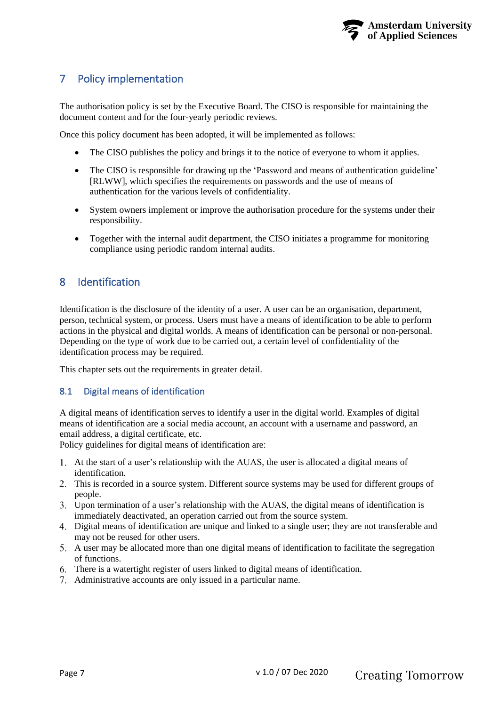

# <span id="page-6-3"></span><span id="page-6-0"></span>7 Policy implementation

The authorisation policy is set by the Executive Board. The CISO is responsible for maintaining the document content and for the four-yearly periodic reviews.

Once this policy document has been adopted, it will be implemented as follows:

- The CISO publishes the policy and brings it to the notice of everyone to whom it applies.
- The CISO is responsible for drawing up the 'Password and means of authentication guideline' [RLWW], which specifies the requirements on passwords and the use of means of authentication for the various levels of confidentiality.
- System owners implement or improve the authorisation procedure for the systems under their responsibility.
- Together with the internal audit department, the CISO initiates a programme for monitoring compliance using periodic random internal audits.

## <span id="page-6-1"></span>8 Identification

Identification is the disclosure of the identity of a user. A user can be an organisation, department, person, technical system, or process. Users must have a means of identification to be able to perform actions in the physical and digital worlds. A means of identification can be personal or non-personal. Depending on the type of work due to be carried out, a certain level of confidentiality of the identification process may be required.

This chapter sets out the requirements in greater detail.

## <span id="page-6-2"></span>8.1 Digital means of identification

A digital means of identification serves to identify a user in the digital world. Examples of digital means of identification are a social media account, an account with a username and password, an email address, a digital certificate, etc.

Policy guidelines for digital means of identification are:

- At the start of a user's relationship with the AUAS, the user is allocated a digital means of identification.
- This is recorded in a source system. Different source systems may be used for different groups of people.
- Upon termination of a user's relationship with the AUAS, the digital means of identification is immediately deactivated, an operation carried out from the source system.
- Digital means of identification are unique and linked to a single user; they are not transferable and may not be reused for other users.
- A user may be allocated more than one digital means of identification to facilitate the segregation of functions.
- There is a watertight register of users linked to digital means of identification.
- Administrative accounts are only issued in a particular name.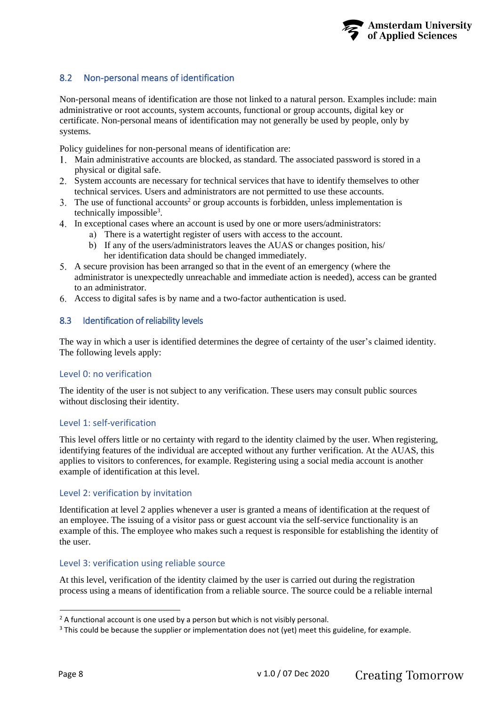

## <span id="page-7-2"></span><span id="page-7-0"></span>8.2 Non-personal means of identification

Non-personal means of identification are those not linked to a natural person. Examples include: main administrative or root accounts, system accounts, functional or group accounts, digital key or certificate. Non-personal means of identification may not generally be used by people, only by systems.

Policy guidelines for non-personal means of identification are:

- Main administrative accounts are blocked, as standard. The associated password is stored in a physical or digital safe.
- System accounts are necessary for technical services that have to identify themselves to other technical services. Users and administrators are not permitted to use these accounts.
- 3. The use of functional accounts<sup>2</sup> or group accounts is forbidden, unless implementation is technically impossible<sup>3</sup>.
- In exceptional cases where an account is used by one or more users/administrators:
	- a) There is a watertight register of users with access to the account.
	- b) If any of the users/administrators leaves the AUAS or changes position, his/ her identification data should be changed immediately.
- A secure provision has been arranged so that in the event of an emergency (where the administrator is unexpectedly unreachable and immediate action is needed), access can be granted to an administrator.
- <span id="page-7-1"></span>Access to digital safes is by name and a two-factor authentication is used.

#### 8.3 Identification of reliability levels

The way in which a user is identified determines the degree of certainty of the user's claimed identity. The following levels apply:

#### Level 0: no verification

The identity of the user is not subject to any verification. These users may consult public sources without disclosing their identity.

#### Level 1: self-verification

This level offers little or no certainty with regard to the identity claimed by the user. When registering, identifying features of the individual are accepted without any further verification. At the AUAS, this applies to visitors to conferences, for example. Registering using a social media account is another example of identification at this level.

#### Level 2: verification by invitation

Identification at level 2 applies whenever a user is granted a means of identification at the request of an employee. The issuing of a visitor pass or guest account via the self-service functionality is an example of this. The employee who makes such a request is responsible for establishing the identity of the user.

#### Level 3: verification using reliable source

At this level, verification of the identity claimed by the user is carried out during the registration process using a means of identification from a reliable source. The source could be a reliable internal

<sup>&</sup>lt;sup>2</sup> A functional account is one used by a person but which is not visibly personal.

<sup>&</sup>lt;sup>3</sup> This could be because the supplier or implementation does not (yet) meet this guideline, for example.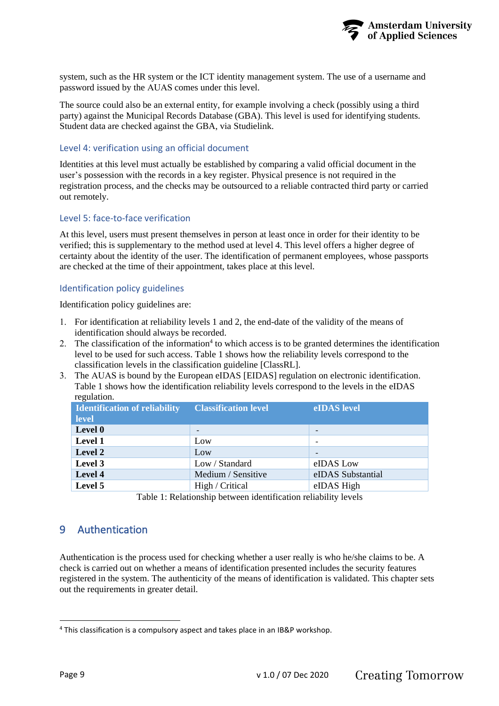

<span id="page-8-1"></span>system, such as the HR system or the ICT identity management system. The use of a username and password issued by the AUAS comes under this level.

The source could also be an external entity, for example involving a check (possibly using a third party) against the Municipal Records Database (GBA). This level is used for identifying students. Student data are checked against the GBA, via Studielink.

#### Level 4: verification using an official document

Identities at this level must actually be established by comparing a valid official document in the user's possession with the records in a key register. Physical presence is not required in the registration process, and the checks may be outsourced to a reliable contracted third party or carried out remotely.

#### Level 5: face-to-face verification

At this level, users must present themselves in person at least once in order for their identity to be verified; this is supplementary to the method used at level 4. This level offers a higher degree of certainty about the identity of the user. The identification of permanent employees, whose passports are checked at the time of their appointment, takes place at this level.

#### Identification policy guidelines

Identification policy guidelines are:

- 1. For identification at reliability levels 1 and 2, the end-date of the validity of the means of identification should always be recorded.
- 2. The classification of the information<sup>4</sup> to which access is to be granted determines the identification level to be used for such access. [Table 1](#page-8-2) shows how the reliability levels correspond to the classification levels in the classification guideline [ClassRL].
- 3. The AUAS is bound by the European eIDAS [EIDAS] regulation on electronic identificati[on.](#page-8-2) [Ta](#page-8-2)ble 1 shows how the identification reliability levels correspond to the levels in the eIDAS regulation.

| <b>Identification of reliability</b><br><b>level</b> | <b>Classification level</b> | eIDAS level       |
|------------------------------------------------------|-----------------------------|-------------------|
| Level 0                                              |                             |                   |
| Level 1                                              | Low                         |                   |
| Level 2                                              | Low                         |                   |
| Level 3                                              | Low / Standard              | eIDAS Low         |
| Level 4                                              | Medium / Sensitive          | eIDAS Substantial |
| Level 5                                              | High / Critical             | eIDAS High        |
|                                                      |                             |                   |

Table 1: Relationship between identification reliability levels

# <span id="page-8-2"></span><span id="page-8-0"></span>9 Authentication

Authentication is the process used for checking whether a user really is who he/she claims to be. A check is carried out on whether a means of identification presented includes the security features registered in the system. The authenticity of the means of identification is validated. This chapter sets out the requirements in greater detail.

<sup>4</sup> This classification is a compulsory aspect and takes place in an IB&P workshop.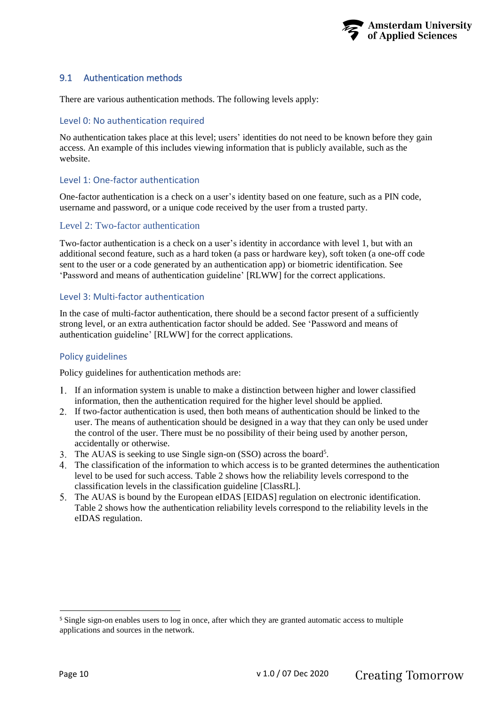

## <span id="page-9-1"></span><span id="page-9-0"></span>9.1 Authentication methods

There are various authentication methods. The following levels apply:

#### Level 0: No authentication required

No authentication takes place at this level; users' identities do not need to be known before they gain access. An example of this includes viewing information that is publicly available, such as the website.

#### Level 1: One-factor authentication

One-factor authentication is a check on a user's identity based on one feature, such as a PIN code, username and password, or a unique code received by the user from a trusted party.

#### Level 2: Two-factor authentication

Two-factor authentication is a check on a user's identity in accordance with level 1, but with an additional second feature, such as a hard token (a pass or hardware key), soft token (a one-off code sent to the user or a code generated by an authentication app) or biometric identification. See 'Password and means of authentication guideline' [RLWW] for the correct applications.

#### Level 3: Multi-factor authentication

In the case of multi-factor authentication, there should be a second factor present of a sufficiently strong level, or an extra authentication factor should be added. See 'Password and means of authentication guideline' [RLWW] for the correct applications.

#### Policy guidelines

Policy guidelines for authentication methods are:

- If an information system is unable to make a distinction between higher and lower classified information, then the authentication required for the higher level should be applied.
- If two-factor authentication is used, then both means of authentication should be linked to the user. The means of authentication should be designed in a way that they can only be used under the control of the user. There must be no possibility of their being used by another person, accidentally or otherwise.
- The AUAS is seeking to use Single sign-on (SSO) across the board<sup>5</sup>.
- The classification of the information to which access is to be granted determines the authentication level to be used for such access. [Table 2](#page-10-4) shows how the reliability levels correspond to the classification levels in the classification guideline [ClassRL].
- The AUAS is bound by the European eIDAS [EIDAS] regulation on electronic identificati[on.](#page-10-4) [Ta](#page-10-4)ble 2 shows how the authentication reliability levels correspond to the reliability levels in the eIDAS regulation.

<sup>&</sup>lt;sup>5</sup> Single sign-on enables users to log in once, after which they are granted automatic access to multiple applications and sources in the network.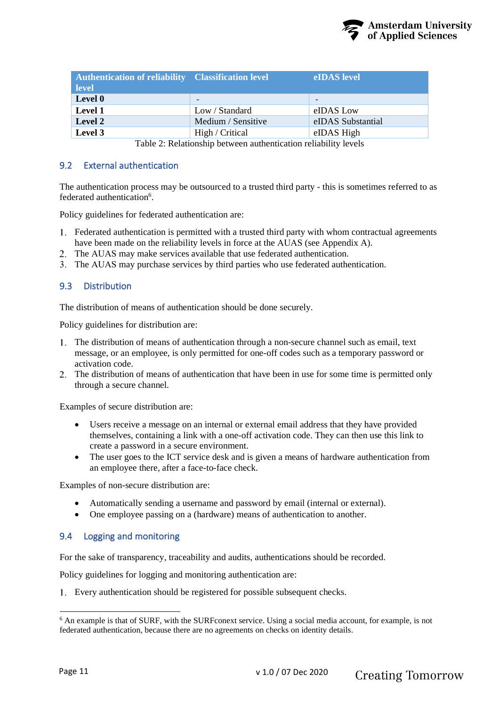

<span id="page-10-3"></span>

| <b>Authentication of reliability Classification level</b><br>level |                                                                                                                                                                                                                                                                                                                                     | eIDAS level              |
|--------------------------------------------------------------------|-------------------------------------------------------------------------------------------------------------------------------------------------------------------------------------------------------------------------------------------------------------------------------------------------------------------------------------|--------------------------|
| Level 0                                                            | $\overline{\phantom{0}}$                                                                                                                                                                                                                                                                                                            | $\overline{\phantom{0}}$ |
| <b>Level 1</b>                                                     | Low / Standard                                                                                                                                                                                                                                                                                                                      | eIDAS Low                |
| Level 2                                                            | Medium / Sensitive                                                                                                                                                                                                                                                                                                                  | eIDAS Substantial        |
| Level 3                                                            | High / Critical                                                                                                                                                                                                                                                                                                                     | eIDAS High               |
|                                                                    | $\overline{47}$ and $\overline{1}$ and $\overline{1}$ and $\overline{1}$ and $\overline{1}$ and $\overline{1}$ and $\overline{1}$ and $\overline{1}$ and $\overline{1}$ and $\overline{1}$ and $\overline{1}$ and $\overline{1}$ and $\overline{1}$ and $\overline{1}$ and $\overline{1}$ and $\overline{1}$ and $\overline{1}$ and |                          |

Table 2: Relationship between authentication reliability levels

## <span id="page-10-4"></span><span id="page-10-0"></span>9.2 External authentication

The authentication process may be outsourced to a trusted third party - this is sometimes referred to as federated authentication<sup>6</sup>.

Policy guidelines for federated authentication are:

- Federated authentication is permitted with a trusted third party with whom contractual agreements have been made on the reliability levels in force at the AUAS (see Appendix A).
- The AUAS may make services available that use federated authentication.
- <span id="page-10-1"></span>The AUAS may purchase services by third parties who use federated authentication.

## 9.3 Distribution

The distribution of means of authentication should be done securely.

Policy guidelines for distribution are:

- The distribution of means of authentication through a non-secure channel such as email, text message, or an employee, is only permitted for one-off codes such as a temporary password or activation code.
- The distribution of means of authentication that have been in use for some time is permitted only through a secure channel.

Examples of secure distribution are:

- Users receive a message on an internal or external email address that they have provided themselves, containing a link with a one-off activation code. They can then use this link to create a password in a secure environment.
- The user goes to the ICT service desk and is given a means of hardware authentication from an employee there, after a face-to-face check.

Examples of non-secure distribution are:

- Automatically sending a username and password by email (internal or external).
- One employee passing on a (hardware) means of authentication to another.

## <span id="page-10-2"></span>9.4 Logging and monitoring

For the sake of transparency, traceability and audits, authentications should be recorded.

Policy guidelines for logging and monitoring authentication are:

Every authentication should be registered for possible subsequent checks.

<sup>6</sup> An example is that of SURF, with the SURFconext service. Using a social media account, for example, is not federated authentication, because there are no agreements on checks on identity details.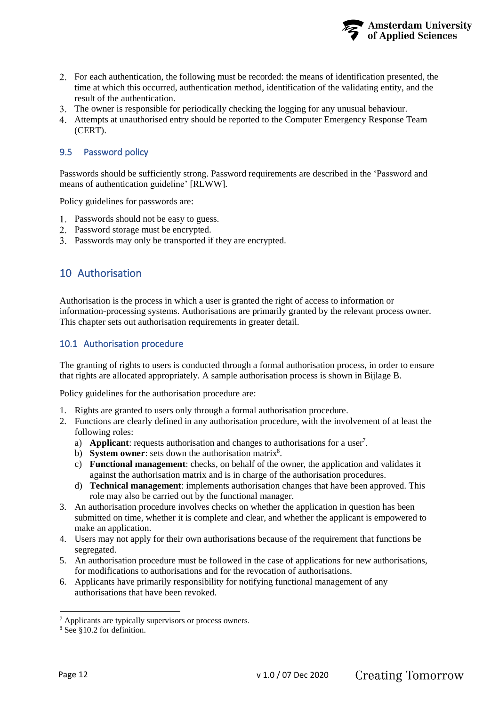

- <span id="page-11-3"></span>For each authentication, the following must be recorded: the means of identification presented, the time at which this occurred, authentication method, identification of the validating entity, and the result of the authentication.
- The owner is responsible for periodically checking the logging for any unusual behaviour.
- Attempts at unauthorised entry should be reported to the Computer Emergency Response Team (CERT).

#### <span id="page-11-0"></span>9.5 Password policy

Passwords should be sufficiently strong. Password requirements are described in the 'Password and means of authentication guideline' [RLWW].

Policy guidelines for passwords are:

- Passwords should not be easy to guess.
- 2. Password storage must be encrypted.
- <span id="page-11-1"></span>Passwords may only be transported if they are encrypted.

## 10 Authorisation

Authorisation is the process in which a user is granted the right of access to information or information-processing systems. Authorisations are primarily granted by the relevant process owner. This chapter sets out authorisation requirements in greater detail.

#### <span id="page-11-2"></span>10.1 Authorisation procedure

The granting of rights to users is conducted through a formal authorisation process, in order to ensure that rights are allocated appropriately. A sample authorisation process is shown in [Bijlage](#page-16-1) [B.](#page-16-1)

Policy guidelines for the authorisation procedure are:

- 1. Rights are granted to users only through a formal authorisation procedure.
- 2. Functions are clearly defined in any authorisation procedure, with the involvement of at least the following roles:
	- a) **Applicant**: requests authorisation and changes to authorisations for a user<sup>7</sup>.
	- b) **System owner**: sets down the authorisation matrix<sup>8</sup>.
	- c) **Functional management**: checks, on behalf of the owner, the application and validates it against the authorisation matrix and is in charge of the authorisation procedures.
	- d) **Technical management**: implements authorisation changes that have been approved. This role may also be carried out by the functional manager.
- 3. An authorisation procedure involves checks on whether the application in question has been submitted on time, whether it is complete and clear, and whether the applicant is empowered to make an application.
- 4. Users may not apply for their own authorisations because of the requirement that functions be segregated.
- 5. An authorisation procedure must be followed in the case of applications for new authorisations, for modifications to authorisations and for the revocation of authorisations.
- 6. Applicants have primarily responsibility for notifying functional management of any authorisations that have been revoked.

<sup>7</sup> Applicants are typically supervisors or process owners.

<sup>8</sup> See [§10.2](#page-12-0) for definition.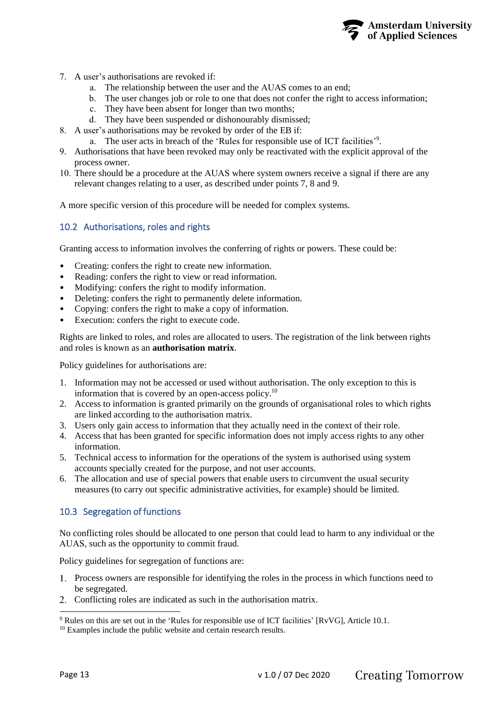

- <span id="page-12-3"></span><span id="page-12-2"></span>7. A user's authorisations are revoked if:
	- a. The relationship between the user and the AUAS comes to an end;
	- b. The user changes job or role to one that does not confer the right to access information;
	- c. They have been absent for longer than two months;
	- d. They have been suspended or dishonourably dismissed;
- 8. A user's authorisations may be revoked by order of the EB if:
	- a. The user acts in breach of the 'Rules for responsible use of ICT facilities'<sup>9</sup>.
- 9. Authorisations that have been revoked may only be reactivated with the explicit approval of the process owner.
- 10. There should be a procedure at the AUAS where system owners receive a signal if there are any relevant changes relating to a user, as described under points [7,](#page-12-3) 8 and 9.

A more specific version of this procedure will be needed for complex systems.

#### <span id="page-12-0"></span>10.2 Authorisations, roles and rights

Granting access to information involves the conferring of rights or powers. These could be:

- Creating: confers the right to create new information.
- Reading: confers the right to view or read information.
- Modifying: confers the right to modify information.
- Deleting: confers the right to permanently delete information.
- Copying: confers the right to make a copy of information.
- Execution: confers the right to execute code.

Rights are linked to roles, and roles are allocated to users. The registration of the link between rights and roles is known as an **authorisation matrix**.

Policy guidelines for authorisations are:

- 1. Information may not be accessed or used without authorisation. The only exception to this is information that is covered by an open-access policy.<sup>10</sup>
- 2. Access to information is granted primarily on the grounds of organisational roles to which rights are linked according to the authorisation matrix.
- 3. Users only gain access to information that they actually need in the context of their role.
- 4. Access that has been granted for specific information does not imply access rights to any other information.
- 5. Technical access to information for the operations of the system is authorised using system accounts specially created for the purpose, and not user accounts.
- 6. The allocation and use of special powers that enable users to circumvent the usual security measures (to carry out specific administrative activities, for example) should be limited.

#### <span id="page-12-1"></span>10.3 Segregation of functions

No conflicting roles should be allocated to one person that could lead to harm to any individual or the AUAS, such as the opportunity to commit fraud.

Policy guidelines for segregation of functions are:

- Process owners are responsible for identifying the roles in the process in which functions need to be segregated.
- 2. Conflicting roles are indicated as such in the authorisation matrix.

<sup>9</sup> Rules on this are set out in the 'Rules for responsible use of ICT facilities' [RvVG], Article 10.1.

<sup>&</sup>lt;sup>10</sup> Examples include the public website and certain research results.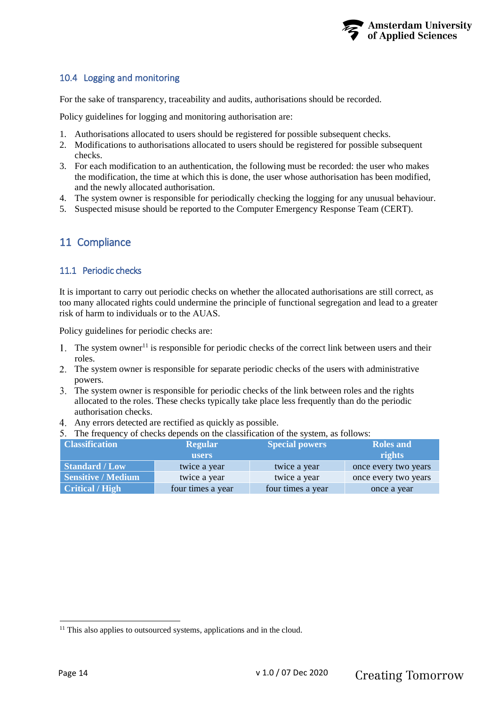

## <span id="page-13-3"></span><span id="page-13-0"></span>10.4 Logging and monitoring

For the sake of transparency, traceability and audits, authorisations should be recorded.

Policy guidelines for logging and monitoring authorisation are:

- 1. Authorisations allocated to users should be registered for possible subsequent checks.
- 2. Modifications to authorisations allocated to users should be registered for possible subsequent checks.
- 3. For each modification to an authentication, the following must be recorded: the user who makes the modification, the time at which this is done, the user whose authorisation has been modified, and the newly allocated authorisation.
- 4. The system owner is responsible for periodically checking the logging for any unusual behaviour.
- <span id="page-13-1"></span>5. Suspected misuse should be reported to the Computer Emergency Response Team (CERT).

## 11 Compliance

#### <span id="page-13-2"></span>11.1 Periodic checks

It is important to carry out periodic checks on whether the allocated authorisations are still correct, as too many allocated rights could undermine the principle of functional segregation and lead to a greater risk of harm to individuals or to the AUAS.

Policy guidelines for periodic checks are:

- 1. The system owner<sup>11</sup> is responsible for periodic checks of the correct link between users and their roles.
- The system owner is responsible for separate periodic checks of the users with administrative powers.
- The system owner is responsible for periodic checks of the link between roles and the rights allocated to the roles. These checks typically take place less frequently than do the periodic authorisation checks.
- Any errors detected are rectified as quickly as possible.
- The frequency of checks depends on the classification of the system, as follows:

| <b>Classification</b>     | <b>Regular</b>    | <b>Special powers</b> | <b>Roles and</b>     |
|---------------------------|-------------------|-----------------------|----------------------|
|                           | users             |                       | rights               |
| <b>Standard / Low</b>     | twice a year      | twice a year          | once every two years |
| <b>Sensitive / Medium</b> | twice a year      | twice a year          | once every two years |
| <b>Critical / High</b>    | four times a year | four times a year     | once a year          |

<sup>&</sup>lt;sup>11</sup> This also applies to outsourced systems, applications and in the cloud.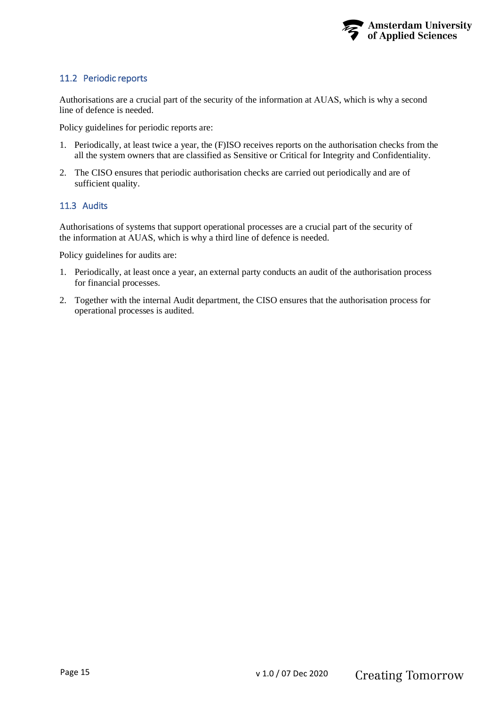

## <span id="page-14-1"></span><span id="page-14-0"></span>11.2 Periodic reports

Authorisations are a crucial part of the security of the information at AUAS, which is why a second line of defence is needed.

Policy guidelines for periodic reports are:

- 1. Periodically, at least twice a year, the (F)ISO receives reports on the authorisation checks from the all the system owners that are classified as Sensitive or Critical for Integrity and Confidentiality.
- 2. The CISO ensures that periodic authorisation checks are carried out periodically and are of sufficient quality.

#### <span id="page-14-2"></span>11.3 Audits

Authorisations of systems that support operational processes are a crucial part of the security of the information at AUAS, which is why a third line of defence is needed.

Policy guidelines for audits are:

- 1. Periodically, at least once a year, an external party conducts an audit of the authorisation process for financial processes.
- 2. Together with the internal Audit department, the CISO ensures that the authorisation process for operational processes is audited.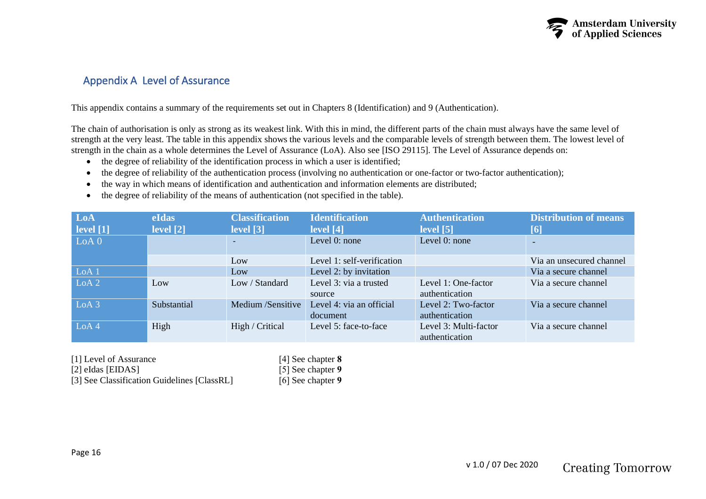

# <span id="page-15-0"></span>Appendix A Level of Assurance

This appendix contains a summary of the requirements set out in Chapters 8 (Identification) and 9 (Authentication).

The chain of authorisation is only as strong as its weakest link. With this in mind, the different parts of the chain must always have the same level of strength at the very least. The table in this appendix shows the various levels and the comparable levels of strength between them. The lowest level of strength in the chain as a whole determines the Level of Assurance (LoA). Also see [ISO 29115]. The Level of Assurance depends on:

- the degree of reliability of the identification process in which a user is identified;
- the degree of reliability of the authentication process (involving no authentication or one-factor or two-factor authentication);
- the way in which means of identification and authentication and information elements are distributed;
- the degree of reliability of the means of authentication (not specified in the table).

| LoA<br>$\vert$ level $\vert$ 1] | <b>eIdas</b><br>level $[2]$ | <b>Classification</b><br>$\lceil \text{level} \rceil$ | <b>Identification</b><br>$\lceil 4 \rceil$ | <b>Authentication</b><br>level <sub>[5]</sub> | Distribution of means<br>$\lceil 6 \rceil$ |
|---------------------------------|-----------------------------|-------------------------------------------------------|--------------------------------------------|-----------------------------------------------|--------------------------------------------|
| LoA 0                           |                             |                                                       | Level 0: none                              | Level 0: none                                 |                                            |
|                                 |                             | Low                                                   | Level 1: self-verification                 |                                               | Via an unsecured channel                   |
| LoA <sub>1</sub>                |                             | Low                                                   | Level 2: by invitation                     |                                               | Via a secure channel                       |
| LoA 2                           | Low                         | Low / Standard                                        | Level 3: via a trusted<br>source           | Level 1: One-factor<br>authentication         | Via a secure channel                       |
| LoA <sub>3</sub>                | Substantial                 | Medium /Sensitive                                     | Level 4: via an official<br>document       | Level 2: Two-factor<br>authentication         | Via a secure channel                       |
| LoA4                            | High                        | High / Critical                                       | Level 5: face-to-face                      | Level 3: Multi-factor<br>authentication       | Via a secure channel                       |

[1] Level of Assurance

[2] eIdas [EIDAS]

[3] See Classification Guidelines [ClassRL]

[4] See chapter **[8](#page-6-3)** [5] See chapter **[9](#page-8-1)** [6] See chapter **[9](#page-8-1)**